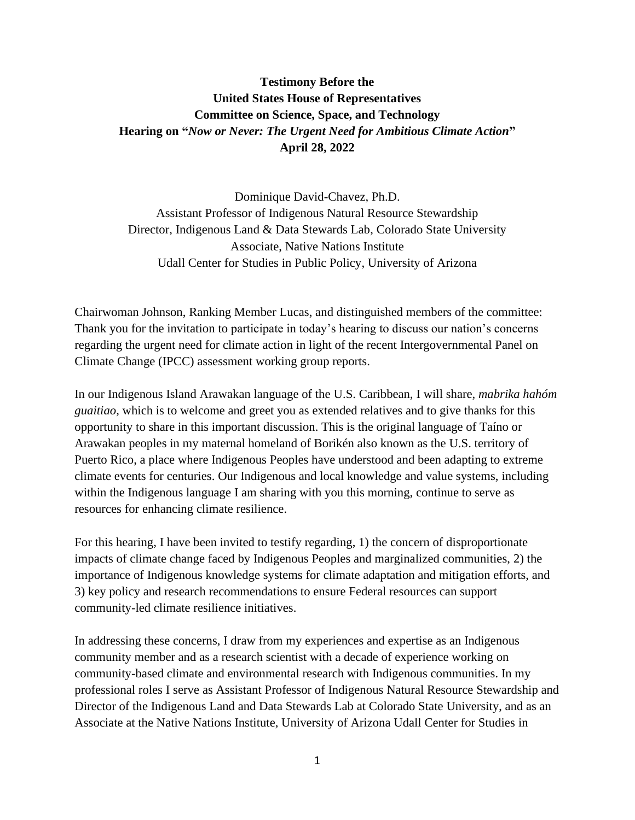## **Testimony Before the United States House of Representatives Committee on Science, Space, and Technology Hearing on "***Now or Never: The Urgent Need for Ambitious Climate Action***" April 28, 2022**

Dominique David-Chavez, Ph.D. Assistant Professor of Indigenous Natural Resource Stewardship Director, Indigenous Land & Data Stewards Lab, Colorado State University Associate, Native Nations Institute Udall Center for Studies in Public Policy, University of Arizona

Chairwoman Johnson, Ranking Member Lucas, and distinguished members of the committee: Thank you for the invitation to participate in today's hearing to discuss our nation's concerns regarding the urgent need for climate action in light of the recent Intergovernmental Panel on Climate Change (IPCC) assessment working group reports.

In our Indigenous Island Arawakan language of the U.S. Caribbean, I will share, *mabrika hahóm guaitiao,* which is to welcome and greet you as extended relatives and to give thanks for this opportunity to share in this important discussion. This is the original language of Taíno or Arawakan peoples in my maternal homeland of Borikén also known as the U.S. territory of Puerto Rico, a place where Indigenous Peoples have understood and been adapting to extreme climate events for centuries. Our Indigenous and local knowledge and value systems, including within the Indigenous language I am sharing with you this morning, continue to serve as resources for enhancing climate resilience.

For this hearing, I have been invited to testify regarding, 1) the concern of disproportionate impacts of climate change faced by Indigenous Peoples and marginalized communities, 2) the importance of Indigenous knowledge systems for climate adaptation and mitigation efforts, and 3) key policy and research recommendations to ensure Federal resources can support community-led climate resilience initiatives.

In addressing these concerns, I draw from my experiences and expertise as an Indigenous community member and as a research scientist with a decade of experience working on community-based climate and environmental research with Indigenous communities. In my professional roles I serve as Assistant Professor of Indigenous Natural Resource Stewardship and Director of the Indigenous Land and Data Stewards Lab at Colorado State University, and as an Associate at the Native Nations Institute, University of Arizona Udall Center for Studies in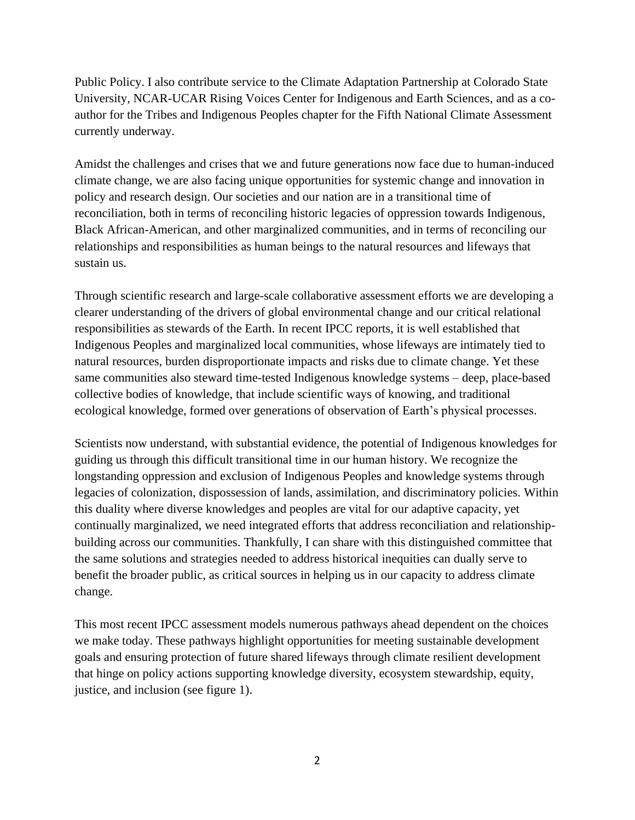Public Policy. I also contribute service to the Climate Adaptation Partnership at Colorado State University, NCAR-UCAR Rising Voices Center for Indigenous and Earth Sciences, and as a coauthor for the Tribes and Indigenous Peoples chapter for the Fifth National Climate Assessment currently underway.

Amidst the challenges and crises that we and future generations now face due to human-induced climate change, we are also facing unique opportunities for systemic change and innovation in policy and research design. Our societies and our nation are in a transitional time of reconciliation, both in terms of reconciling historic legacies of oppression towards Indigenous, Black African-American, and other marginalized communities, and in terms of reconciling our relationships and responsibilities as human beings to the natural resources and lifeways that sustain us.

Through scientific research and large-scale collaborative assessment efforts we are developing a clearer understanding of the drivers of global environmental change and our critical relational responsibilities as stewards of the Earth. In recent IPCC reports, it is well established that Indigenous Peoples and marginalized local communities, whose lifeways are intimately tied to natural resources, burden disproportionate impacts and risks due to climate change. Yet these same communities also steward time-tested Indigenous knowledge systems – deep, place-based collective bodies of knowledge, that include scientific ways of knowing, and traditional ecological knowledge, formed over generations of observation of Earth's physical processes.

Scientists now understand, with substantial evidence, the potential of Indigenous knowledges for guiding us through this difficult transitional time in our human history. We recognize the longstanding oppression and exclusion of Indigenous Peoples and knowledge systems through legacies of colonization, dispossession of lands, assimilation, and discriminatory policies. Within this duality where diverse knowledges and peoples are vital for our adaptive capacity, yet continually marginalized, we need integrated efforts that address reconciliation and relationshipbuilding across our communities. Thankfully, I can share with this distinguished committee that the same solutions and strategies needed to address historical inequities can dually serve to benefit the broader public, as critical sources in helping us in our capacity to address climate change.

This most recent IPCC assessment models numerous pathways ahead dependent on the choices we make today. These pathways highlight opportunities for meeting sustainable development goals and ensuring protection of future shared lifeways through climate resilient development that hinge on policy actions supporting knowledge diversity, ecosystem stewardship, equity, justice, and inclusion (see figure 1).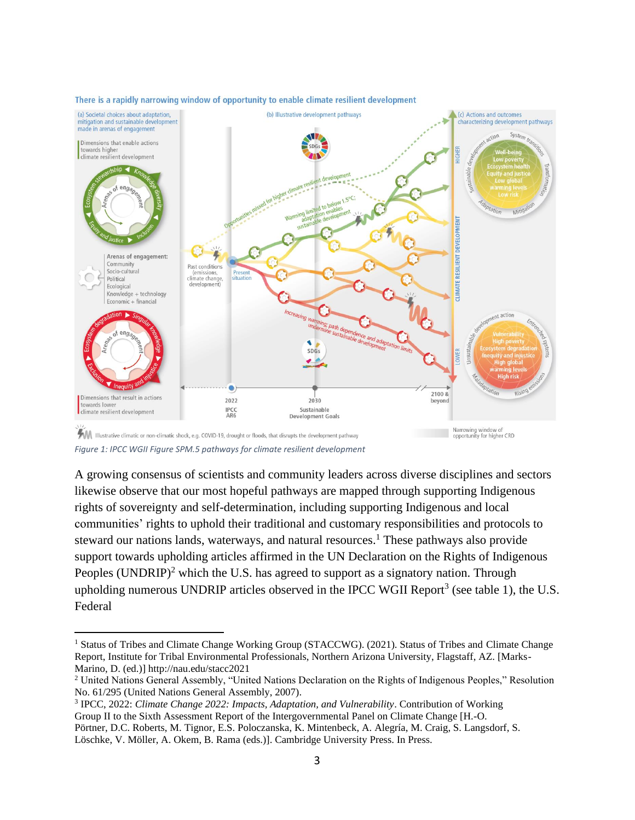

## There is a rapidly narrowing window of opportunity to enable climate resilient development

*Figure 1: IPCC WGII Figure SPM.5 pathways for climate resilient development* 

A growing consensus of scientists and community leaders across diverse disciplines and sectors likewise observe that our most hopeful pathways are mapped through supporting Indigenous rights of sovereignty and self-determination, including supporting Indigenous and local communities' rights to uphold their traditional and customary responsibilities and protocols to steward our nations lands, waterways, and natural resources. <sup>1</sup> These pathways also provide support towards upholding articles affirmed in the UN Declaration on the Rights of Indigenous Peoples (UNDRIP)<sup>2</sup> which the U.S. has agreed to support as a signatory nation. Through upholding numerous UNDRIP articles observed in the IPCC WGII Report<sup>3</sup> (see table 1), the U.S. Federal

<sup>&</sup>lt;sup>1</sup> Status of Tribes and Climate Change Working Group (STACCWG). (2021). Status of Tribes and Climate Change Report, Institute for Tribal Environmental Professionals, Northern Arizona University, Flagstaff, AZ. [Marks-Marino, D. (ed.)] http://nau.edu/stacc2021

<sup>2</sup> United Nations General Assembly, "United Nations Declaration on the Rights of Indigenous Peoples," Resolution No. 61/295 (United Nations General Assembly, 2007).

<sup>3</sup> IPCC, 2022: *Climate Change 2022: Impacts, Adaptation, and Vulnerability*. Contribution of Working Group II to the Sixth Assessment Report of the Intergovernmental Panel on Climate Change [H.-O. Pörtner, D.C. Roberts, M. Tignor, E.S. Poloczanska, K. Mintenbeck, A. Alegría, M. Craig, S. Langsdorf, S. Löschke, V. Möller, A. Okem, B. Rama (eds.)]. Cambridge University Press. In Press.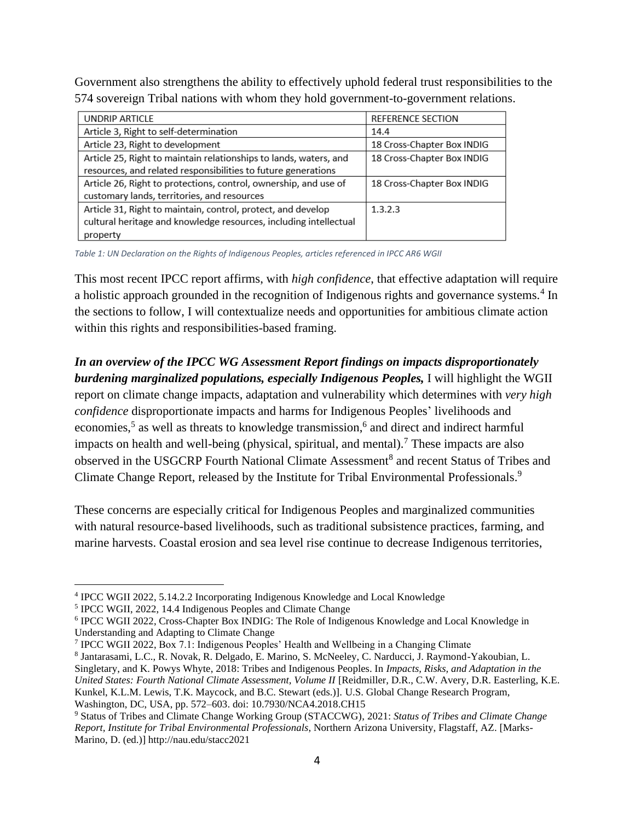Government also strengthens the ability to effectively uphold federal trust responsibilities to the 574 sovereign Tribal nations with whom they hold government-to-government relations.

| UNDRIP ARTICLE                                                    | <b>REFERENCE SECTION</b>   |
|-------------------------------------------------------------------|----------------------------|
| Article 3, Right to self-determination                            | 14.4                       |
| Article 23, Right to development                                  | 18 Cross-Chapter Box INDIG |
| Article 25, Right to maintain relationships to lands, waters, and | 18 Cross-Chapter Box INDIG |
| resources, and related responsibilities to future generations     |                            |
| Article 26, Right to protections, control, ownership, and use of  | 18 Cross-Chapter Box INDIG |
| customary lands, territories, and resources                       |                            |
| Article 31, Right to maintain, control, protect, and develop      | 1.3.2.3                    |
| cultural heritage and knowledge resources, including intellectual |                            |
| property                                                          |                            |

*Table 1: UN Declaration on the Rights of Indigenous Peoples, articles referenced in IPCC AR6 WGII*

This most recent IPCC report affirms, with *high confidence*, that effective adaptation will require a holistic approach grounded in the recognition of Indigenous rights and governance systems.<sup>4</sup> In the sections to follow, I will contextualize needs and opportunities for ambitious climate action within this rights and responsibilities-based framing.

*In an overview of the IPCC WG Assessment Report findings on impacts disproportionately burdening marginalized populations, especially Indigenous Peoples,* I will highlight the WGII report on climate change impacts, adaptation and vulnerability which determines with *very high confidence* disproportionate impacts and harms for Indigenous Peoples' livelihoods and economies, 5 as well as threats to knowledge transmission, 6 and direct and indirect harmful impacts on health and well-being (physical, spiritual, and mental).<sup>7</sup> These impacts are also observed in the USGCRP Fourth National Climate Assessment<sup>8</sup> and recent Status of Tribes and Climate Change Report, released by the Institute for Tribal Environmental Professionals.<sup>9</sup>

These concerns are especially critical for Indigenous Peoples and marginalized communities with natural resource-based livelihoods, such as traditional subsistence practices, farming, and marine harvests. Coastal erosion and sea level rise continue to decrease Indigenous territories,

7 IPCC WGII 2022, Box 7.1: Indigenous Peoples' Health and Wellbeing in a Changing Climate

<sup>&</sup>lt;sup>4</sup> IPCC WGII 2022, 5.14.2.2 Incorporating Indigenous Knowledge and Local Knowledge

<sup>5</sup> IPCC WGII, 2022, 14.4 Indigenous Peoples and Climate Change

<sup>6</sup> IPCC WGII 2022, Cross-Chapter Box INDIG: The Role of Indigenous Knowledge and Local Knowledge in Understanding and Adapting to Climate Change

<sup>8</sup> Jantarasami, L.C., R. Novak, R. Delgado, E. Marino, S. McNeeley, C. Narducci, J. Raymond-Yakoubian, L. Singletary, and K. Powys Whyte, 2018: Tribes and Indigenous Peoples. In *Impacts, Risks, and Adaptation in the United States: Fourth National Climate Assessment, Volume II* [Reidmiller, D.R., C.W. Avery, D.R. Easterling, K.E. Kunkel, K.L.M. Lewis, T.K. Maycock, and B.C. Stewart (eds.)]. U.S. Global Change Research Program, Washington, DC, USA, pp. 572–603. doi: 10.7930/NCA4.2018.CH15

<sup>9</sup> Status of Tribes and Climate Change Working Group (STACCWG), 2021: *Status of Tribes and Climate Change Report, Institute for Tribal Environmental Professionals*, Northern Arizona University, Flagstaff, AZ. [Marks-Marino, D. (ed.)] http://nau.edu/stacc2021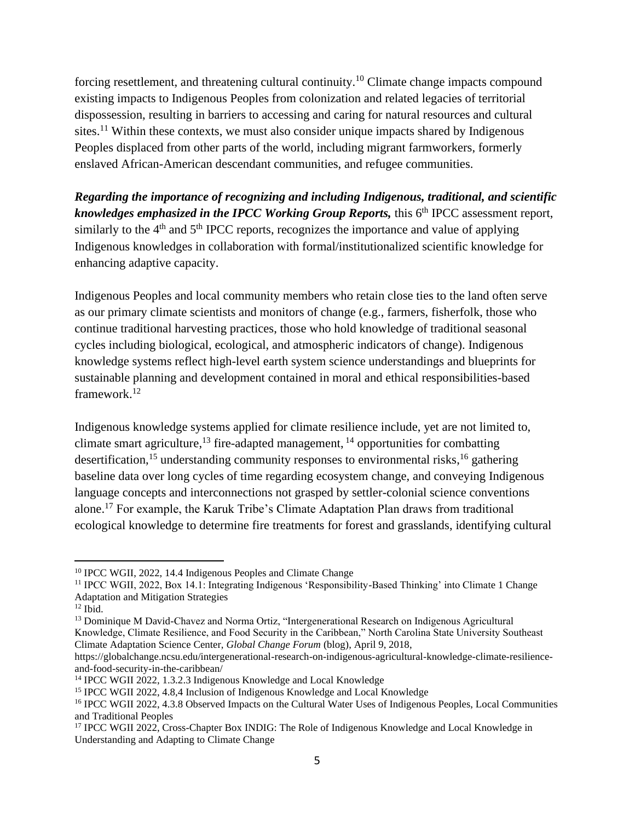forcing resettlement, and threatening cultural continuity.<sup>10</sup> Climate change impacts compound existing impacts to Indigenous Peoples from colonization and related legacies of territorial dispossession, resulting in barriers to accessing and caring for natural resources and cultural sites.<sup>11</sup> Within these contexts, we must also consider unique impacts shared by Indigenous Peoples displaced from other parts of the world, including migrant farmworkers, formerly enslaved African-American descendant communities, and refugee communities.

*Regarding the importance of recognizing and including Indigenous, traditional, and scientific*  knowledges emphasized in the IPCC Working Group Reports, this 6<sup>th</sup> IPCC assessment report, similarly to the  $4<sup>th</sup>$  and  $5<sup>th</sup>$  IPCC reports, recognizes the importance and value of applying Indigenous knowledges in collaboration with formal/institutionalized scientific knowledge for enhancing adaptive capacity.

Indigenous Peoples and local community members who retain close ties to the land often serve as our primary climate scientists and monitors of change (e.g., farmers, fisherfolk, those who continue traditional harvesting practices, those who hold knowledge of traditional seasonal cycles including biological, ecological, and atmospheric indicators of change). Indigenous knowledge systems reflect high-level earth system science understandings and blueprints for sustainable planning and development contained in moral and ethical responsibilities-based framework.<sup>12</sup>

Indigenous knowledge systems applied for climate resilience include, yet are not limited to, climate smart agriculture,  $^{13}$  fire-adapted management,  $^{14}$  opportunities for combatting desertification,<sup>15</sup> understanding community responses to environmental risks,<sup>16</sup> gathering baseline data over long cycles of time regarding ecosystem change, and conveying Indigenous language concepts and interconnections not grasped by settler-colonial science conventions alone.<sup>17</sup> For example, the Karuk Tribe's Climate Adaptation Plan draws from traditional ecological knowledge to determine fire treatments for forest and grasslands, identifying cultural

<sup>10</sup> IPCC WGII, 2022, 14.4 Indigenous Peoples and Climate Change

<sup>11</sup> IPCC WGII, 2022, Box 14.1: Integrating Indigenous 'Responsibility-Based Thinking' into Climate 1 Change Adaptation and Mitigation Strategies

 $12$  Ibid.

<sup>&</sup>lt;sup>13</sup> Dominique M David-Chavez and Norma Ortiz, "Intergenerational Research on Indigenous Agricultural Knowledge, Climate Resilience, and Food Security in the Caribbean," North Carolina State University Southeast Climate Adaptation Science Center, *Global Change Forum* (blog), April 9, 2018,

https://globalchange.ncsu.edu/intergenerational-research-on-indigenous-agricultural-knowledge-climate-resilienceand-food-security-in-the-caribbean/

<sup>14</sup> IPCC WGII 2022, 1.3.2.3 Indigenous Knowledge and Local Knowledge

<sup>15</sup> IPCC WGII 2022, 4.8,4 Inclusion of Indigenous Knowledge and Local Knowledge

<sup>&</sup>lt;sup>16</sup> IPCC WGII 2022, 4.3.8 Observed Impacts on the Cultural Water Uses of Indigenous Peoples, Local Communities and Traditional Peoples

<sup>&</sup>lt;sup>17</sup> IPCC WGII 2022, Cross-Chapter Box INDIG: The Role of Indigenous Knowledge and Local Knowledge in Understanding and Adapting to Climate Change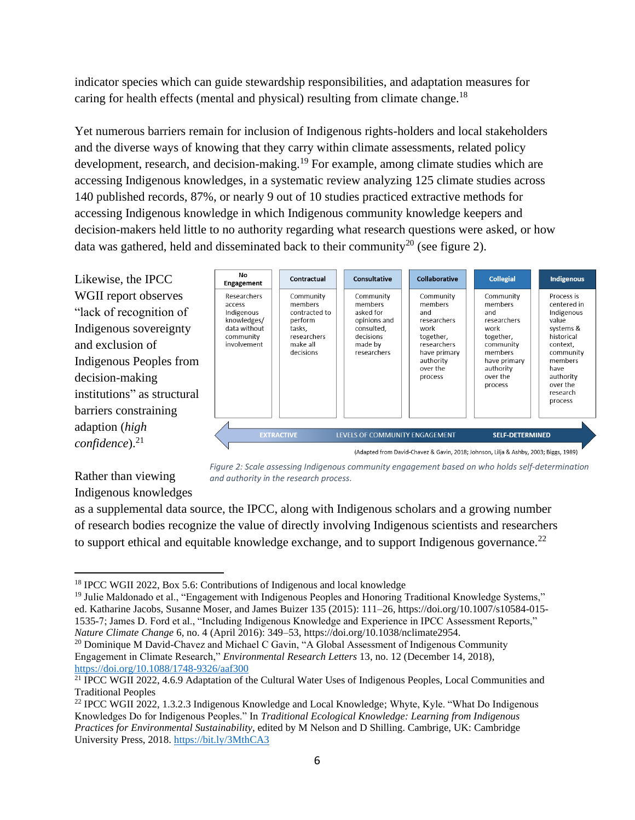indicator species which can guide stewardship responsibilities, and adaptation measures for caring for health effects (mental and physical) resulting from climate change.<sup>18</sup>

Yet numerous barriers remain for inclusion of Indigenous rights-holders and local stakeholders and the diverse ways of knowing that they carry within climate assessments, related policy development, research, and decision-making.<sup>19</sup> For example, among climate studies which are accessing Indigenous knowledges, in a systematic review analyzing 125 climate studies across 140 published records, 87%, or nearly 9 out of 10 studies practiced extractive methods for accessing Indigenous knowledge in which Indigenous community knowledge keepers and decision-makers held little to no authority regarding what research questions were asked, or how data was gathered, held and disseminated back to their community<sup>20</sup> (see figure 2).

| Likewise, the IPCC           | No<br>Engagement                                                                               | Contractual                                                                           | <b>Consultative</b>                                                                     | <b>Collaborative</b>                                                                                                                | <b>Collegial</b>                                                             | <b>Indigenous</b>                                                         |
|------------------------------|------------------------------------------------------------------------------------------------|---------------------------------------------------------------------------------------|-----------------------------------------------------------------------------------------|-------------------------------------------------------------------------------------------------------------------------------------|------------------------------------------------------------------------------|---------------------------------------------------------------------------|
| WGII report observes         | Researchers<br>access<br>Indigenous<br>knowledges/<br>data without<br>community<br>involvement | Community<br>members<br>contracted to<br>perform<br>tasks,<br>researchers<br>make all | Community<br>members<br>asked for<br>opinions and<br>consulted,<br>decisions<br>made by | Community<br>members<br>and<br>researchers<br>work<br>together,<br>researchers                                                      | Community<br>members<br>and<br>researchers<br>work<br>together,<br>community | Process is                                                                |
| "lack of recognition of      |                                                                                                |                                                                                       |                                                                                         |                                                                                                                                     |                                                                              | centered in<br>Indigenous<br>value<br>systems &<br>historical<br>context, |
| Indigenous sovereignty       |                                                                                                |                                                                                       |                                                                                         |                                                                                                                                     |                                                                              |                                                                           |
| and exclusion of             |                                                                                                |                                                                                       |                                                                                         |                                                                                                                                     |                                                                              |                                                                           |
| Indigenous Peoples from      |                                                                                                | decisions                                                                             | researchers                                                                             | have primary<br>authority<br>over the                                                                                               | members<br>have primary<br>authority                                         | community<br>members<br>have                                              |
| decision-making              |                                                                                                |                                                                                       |                                                                                         | process                                                                                                                             | over the                                                                     | authority<br>over the                                                     |
| institutions" as structural  |                                                                                                |                                                                                       |                                                                                         |                                                                                                                                     | process                                                                      | research<br>process                                                       |
| barriers constraining        |                                                                                                |                                                                                       |                                                                                         |                                                                                                                                     |                                                                              |                                                                           |
| adaption (high               |                                                                                                |                                                                                       |                                                                                         |                                                                                                                                     |                                                                              |                                                                           |
| $confidence).$ <sup>21</sup> |                                                                                                | <b>EXTRACTIVE</b>                                                                     | LEVELS OF COMMUNITY ENGAGEMENT                                                          | $\mathbf{a} \cdot \mathbf{b}$ and $\mathbf{a} \cdot \mathbf{c}$ and $\mathbf{a} \cdot \mathbf{c}$ and $\mathbf{a} \cdot \mathbf{c}$ | <b>SELF-DETERMINED</b><br>1111.011.11.0000.01                                | $\sim$ $\sim$ $\sim$ $\sim$ $\sim$                                        |

(Adapted from David-Chavez & Gavin, 2018; Johnson, Lilja & Ashby, 2003; Biggs, 1989)

Rather than viewing Indigenous knowledges *Figure 2: Scale assessing Indigenous community engagement based on who holds self-determination and authority in the research process.*

as a supplemental data source, the IPCC, along with Indigenous scholars and a growing number of research bodies recognize the value of directly involving Indigenous scientists and researchers to support ethical and equitable knowledge exchange, and to support Indigenous governance.<sup>22</sup>

<sup>&</sup>lt;sup>18</sup> IPCC WGII 2022, Box 5.6: Contributions of Indigenous and local knowledge

<sup>&</sup>lt;sup>19</sup> Julie Maldonado et al., "Engagement with Indigenous Peoples and Honoring Traditional Knowledge Systems," ed. Katharine Jacobs, Susanne Moser, and James Buizer 135 (2015): 111–26, https://doi.org/10.1007/s10584-015- 1535-7; James D. Ford et al., "Including Indigenous Knowledge and Experience in IPCC Assessment Reports," *Nature Climate Change* 6, no. 4 (April 2016): 349–53, https://doi.org/10.1038/nclimate2954.

<sup>&</sup>lt;sup>20</sup> Dominique M David-Chavez and Michael C Gavin, "A Global Assessment of Indigenous Community Engagement in Climate Research," *Environmental Research Letters* 13, no. 12 (December 14, 2018), <https://doi.org/10.1088/1748-9326/aaf300>

<sup>&</sup>lt;sup>21</sup> IPCC WGII 2022, 4.6.9 Adaptation of the Cultural Water Uses of Indigenous Peoples, Local Communities and Traditional Peoples

<sup>&</sup>lt;sup>22</sup> IPCC WGII 2022, 1.3.2.3 Indigenous Knowledge and Local Knowledge; Whyte, Kyle. "What Do Indigenous Knowledges Do for Indigenous Peoples." In *Traditional Ecological Knowledge: Learning from Indigenous Practices for Environmental Sustainability*, edited by M Nelson and D Shilling. Cambrige, UK: Cambridge University Press, 2018. <https://bit.ly/3MthCA3>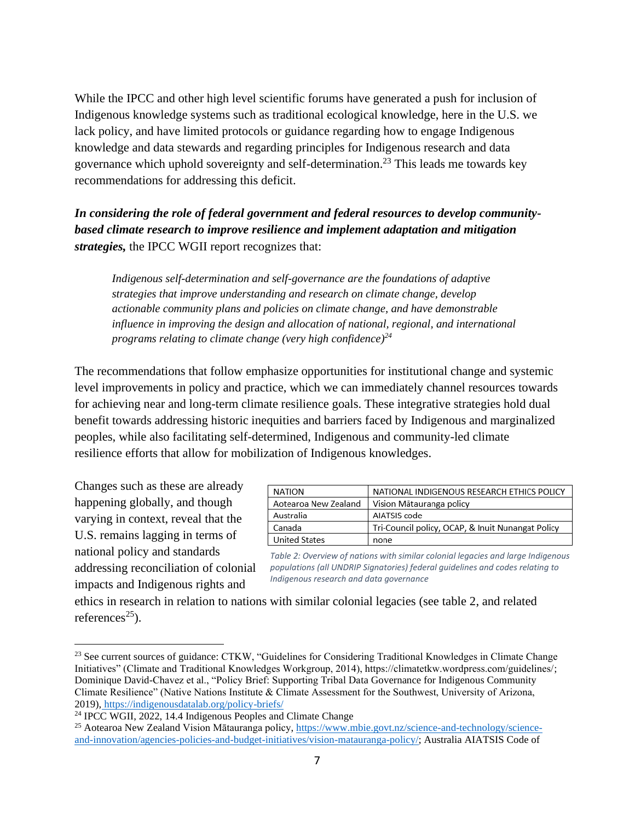While the IPCC and other high level scientific forums have generated a push for inclusion of Indigenous knowledge systems such as traditional ecological knowledge, here in the U.S. we lack policy, and have limited protocols or guidance regarding how to engage Indigenous knowledge and data stewards and regarding principles for Indigenous research and data governance which uphold sovereignty and self-determination. <sup>23</sup> This leads me towards key recommendations for addressing this deficit.

*In considering the role of federal government and federal resources to develop communitybased climate research to improve resilience and implement adaptation and mitigation strategies,* the IPCC WGII report recognizes that:

*Indigenous self-determination and self-governance are the foundations of adaptive strategies that improve understanding and research on climate change, develop actionable community plans and policies on climate change, and have demonstrable influence in improving the design and allocation of national, regional, and international programs relating to climate change (very high confidence)<sup>24</sup>*

The recommendations that follow emphasize opportunities for institutional change and systemic level improvements in policy and practice, which we can immediately channel resources towards for achieving near and long-term climate resilience goals. These integrative strategies hold dual benefit towards addressing historic inequities and barriers faced by Indigenous and marginalized peoples, while also facilitating self-determined, Indigenous and community-led climate resilience efforts that allow for mobilization of Indigenous knowledges.

Changes such as these are already happening globally, and though varying in context, reveal that the U.S. remains lagging in terms of national policy and standards addressing reconciliation of colonial impacts and Indigenous rights and

| <b>NATION</b>        | NATIONAL INDIGENOUS RESEARCH ETHICS POLICY        |
|----------------------|---------------------------------------------------|
| Aotearoa New Zealand | Vision Mātauranga policy                          |
| Australia            | AIATSIS code                                      |
| Canada               | Tri-Council policy, OCAP, & Inuit Nunangat Policy |
| <b>United States</b> | none                                              |
|                      |                                                   |

*Table 2: Overview of nations with similar colonial legacies and large Indigenous populations (all UNDRIP Signatories) federal guidelines and codes relating to Indigenous research and data governance*

ethics in research in relation to nations with similar colonial legacies (see table 2, and related references $^{25}$ ).

<sup>&</sup>lt;sup>23</sup> See current sources of guidance: CTKW, "Guidelines for Considering Traditional Knowledges in Climate Change Initiatives" (Climate and Traditional Knowledges Workgroup, 2014), https://climatetkw.wordpress.com/guidelines/; Dominique David-Chavez et al., "Policy Brief: Supporting Tribal Data Governance for Indigenous Community Climate Resilience" (Native Nations Institute & Climate Assessment for the Southwest, University of Arizona, 2019), <https://indigenousdatalab.org/policy-briefs/>

<sup>24</sup> IPCC WGII, 2022, 14.4 Indigenous Peoples and Climate Change

<sup>&</sup>lt;sup>25</sup> Aotearoa New Zealand Vision Mātauranga policy[, https://www.mbie.govt.nz/science-and-technology/science](https://www.mbie.govt.nz/science-and-technology/science-and-innovation/agencies-policies-and-budget-initiatives/vision-matauranga-policy/)[and-innovation/agencies-policies-and-budget-initiatives/vision-matauranga-policy/;](https://www.mbie.govt.nz/science-and-technology/science-and-innovation/agencies-policies-and-budget-initiatives/vision-matauranga-policy/) Australia AIATSIS Code of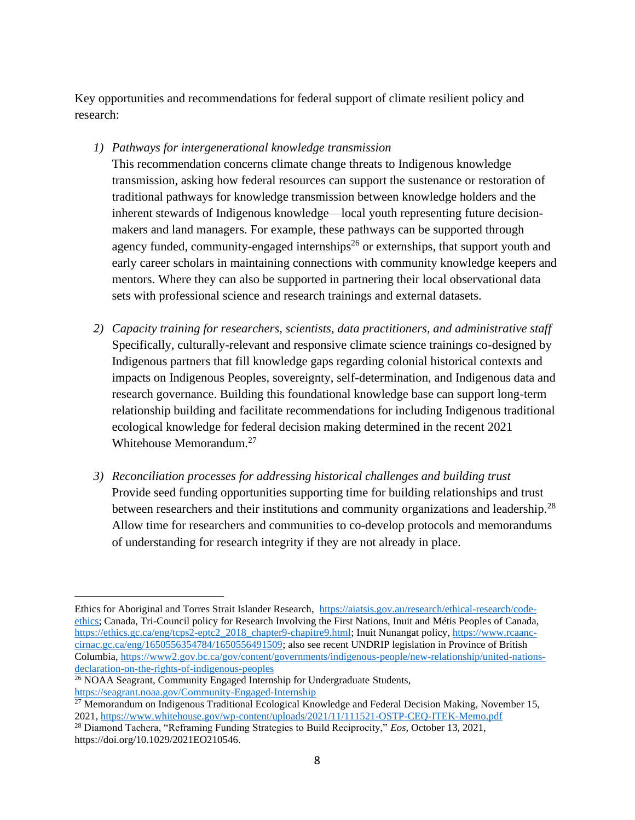Key opportunities and recommendations for federal support of climate resilient policy and research:

*1) Pathways for intergenerational knowledge transmission*

This recommendation concerns climate change threats to Indigenous knowledge transmission, asking how federal resources can support the sustenance or restoration of traditional pathways for knowledge transmission between knowledge holders and the inherent stewards of Indigenous knowledge—local youth representing future decisionmakers and land managers. For example, these pathways can be supported through agency funded, community-engaged internships<sup>26</sup> or externships, that support youth and early career scholars in maintaining connections with community knowledge keepers and mentors. Where they can also be supported in partnering their local observational data sets with professional science and research trainings and external datasets.

- *2) Capacity training for researchers, scientists, data practitioners, and administrative staff* Specifically, culturally-relevant and responsive climate science trainings co-designed by Indigenous partners that fill knowledge gaps regarding colonial historical contexts and impacts on Indigenous Peoples, sovereignty, self-determination, and Indigenous data and research governance. Building this foundational knowledge base can support long-term relationship building and facilitate recommendations for including Indigenous traditional ecological knowledge for federal decision making determined in the recent 2021 Whitehouse Memorandum.<sup>27</sup>
- *3) Reconciliation processes for addressing historical challenges and building trust* Provide seed funding opportunities supporting time for building relationships and trust between researchers and their institutions and community organizations and leadership.<sup>28</sup> Allow time for researchers and communities to co-develop protocols and memorandums of understanding for research integrity if they are not already in place.

Ethics for Aboriginal and Torres Strait Islander Research, [https://aiatsis.gov.au/research/ethical-research/code](https://aiatsis.gov.au/research/ethical-research/code-ethics)[ethics;](https://aiatsis.gov.au/research/ethical-research/code-ethics) Canada, Tri-Council policy for Research Involving the First Nations, Inuit and Métis Peoples of Canada, [https://ethics.gc.ca/eng/tcps2-eptc2\\_2018\\_chapter9-chapitre9.html;](https://ethics.gc.ca/eng/tcps2-eptc2_2018_chapter9-chapitre9.html) Inuit Nunangat policy[, https://www.rcaanc](https://www.rcaanc-cirnac.gc.ca/eng/1650556354784/1650556491509)[cirnac.gc.ca/eng/1650556354784/1650556491509;](https://www.rcaanc-cirnac.gc.ca/eng/1650556354784/1650556491509) also see recent UNDRIP legislation in Province of British Columbia, [https://www2.gov.bc.ca/gov/content/governments/indigenous-people/new-relationship/united-nations](https://www2.gov.bc.ca/gov/content/governments/indigenous-people/new-relationship/united-nations-declaration-on-the-rights-of-indigenous-peoples)[declaration-on-the-rights-of-indigenous-peoples](https://www2.gov.bc.ca/gov/content/governments/indigenous-people/new-relationship/united-nations-declaration-on-the-rights-of-indigenous-peoples)

<sup>&</sup>lt;sup>26</sup> NOAA Seagrant, Community Engaged Internship for Undergraduate Students, <https://seagrant.noaa.gov/Community-Engaged-Internship>

 $^{27}$  Memorandum on Indigenous Traditional Ecological Knowledge and Federal Decision Making, November 15, 2021,<https://www.whitehouse.gov/wp-content/uploads/2021/11/111521-OSTP-CEQ-ITEK-Memo.pdf>

<sup>28</sup> Diamond Tachera, "Reframing Funding Strategies to Build Reciprocity," *Eos*, October 13, 2021, https://doi.org/10.1029/2021EO210546.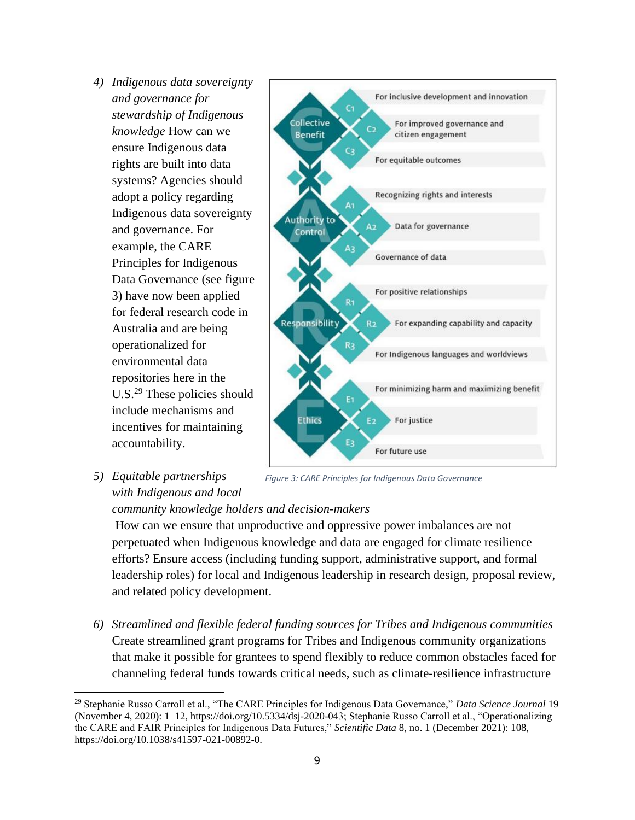- *4) Indigenous data sovereignty and governance for stewardship of Indigenous knowledge* How can we ensure Indigenous data rights are built into data systems? Agencies should adopt a policy regarding Indigenous data sovereignty and governance. For example, the CARE Principles for Indigenous Data Governance (see figure 3) have now been applied for federal research code in Australia and are being operationalized for environmental data repositories here in the U.S.<sup>29</sup> These policies should include mechanisms and incentives for maintaining accountability.
- *5) Equitable partnerships with Indigenous and local*



*Figure 3: CARE Principles for Indigenous Data Governance*

## *community knowledge holders and decision-makers*

How can we ensure that unproductive and oppressive power imbalances are not perpetuated when Indigenous knowledge and data are engaged for climate resilience efforts? Ensure access (including funding support, administrative support, and formal leadership roles) for local and Indigenous leadership in research design, proposal review, and related policy development.

*6) Streamlined and flexible federal funding sources for Tribes and Indigenous communities* Create streamlined grant programs for Tribes and Indigenous community organizations that make it possible for grantees to spend flexibly to reduce common obstacles faced for channeling federal funds towards critical needs, such as climate-resilience infrastructure

<sup>29</sup> Stephanie Russo Carroll et al., "The CARE Principles for Indigenous Data Governance," *Data Science Journal* 19 (November 4, 2020): 1–12, https://doi.org/10.5334/dsj-2020-043; Stephanie Russo Carroll et al., "Operationalizing the CARE and FAIR Principles for Indigenous Data Futures," *Scientific Data* 8, no. 1 (December 2021): 108, https://doi.org/10.1038/s41597-021-00892-0.